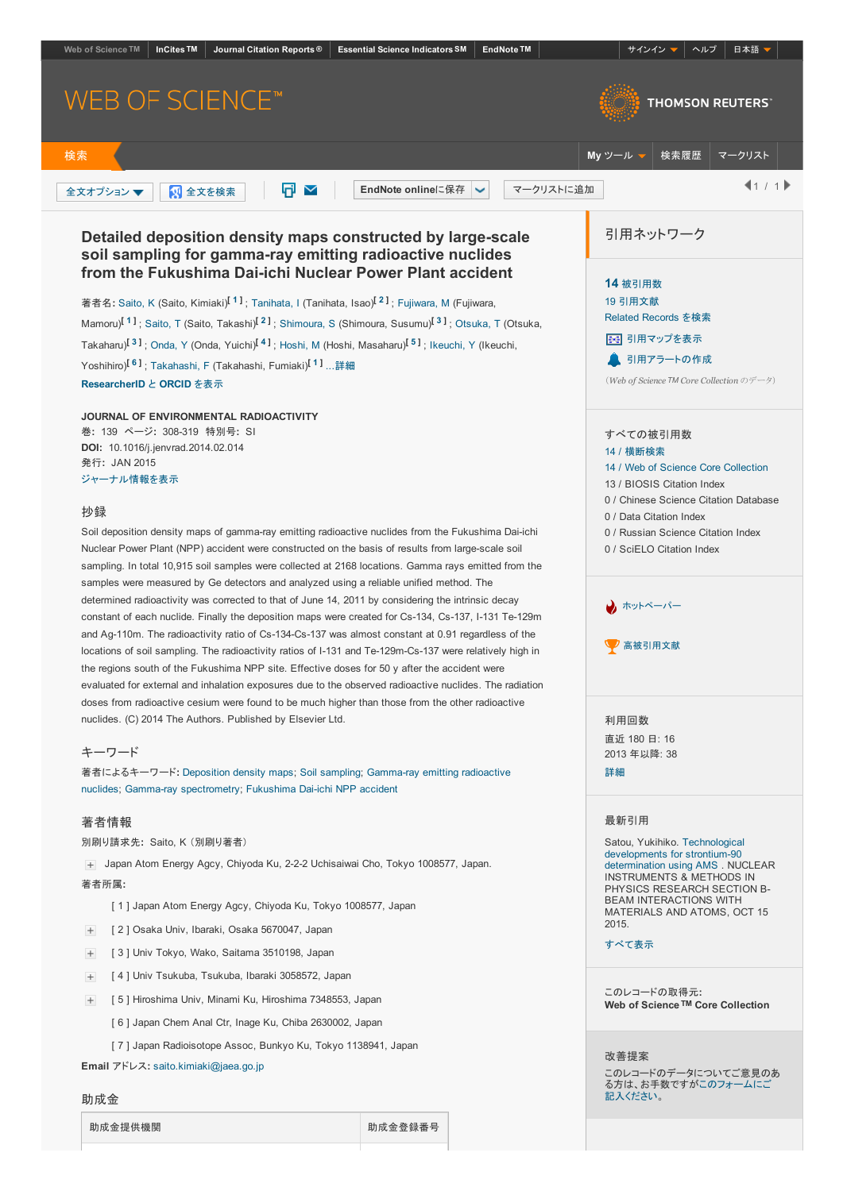<span id="page-0-5"></span><span id="page-0-4"></span><span id="page-0-3"></span><span id="page-0-2"></span><span id="page-0-1"></span><span id="page-0-0"></span>